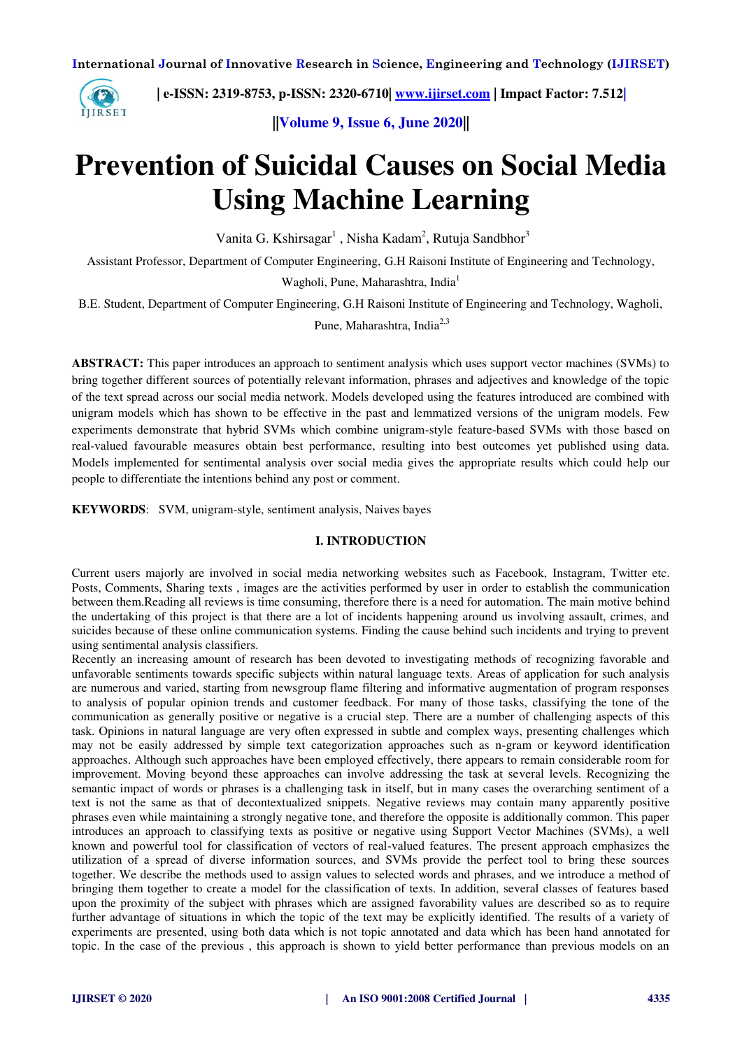

 **| e-ISSN: 2319-8753, p-ISSN: 2320-6710| [www.ijirset.com](http://www.ijirset.com/) | Impact Factor: 7.512|**

**||Volume 9, Issue 6, June 2020||** 

# **Prevention of Suicidal Causes on Social Media Using Machine Learning**

Vanita G. Kshirsagar<sup>1</sup>, Nisha Kadam<sup>2</sup>, Rutuja Sandbhor<sup>3</sup>

Assistant Professor, Department of Computer Engineering, G.H Raisoni Institute of Engineering and Technology,

Wagholi, Pune, Maharashtra, India<sup>1</sup>

B.E. Student, Department of Computer Engineering, G.H Raisoni Institute of Engineering and Technology, Wagholi,

Pune, Maharashtra, India<sup>2,3</sup>

**ABSTRACT:** This paper introduces an approach to sentiment analysis which uses support vector machines (SVMs) to bring together different sources of potentially relevant information, phrases and adjectives and knowledge of the topic of the text spread across our social media network. Models developed using the features introduced are combined with unigram models which has shown to be effective in the past and lemmatized versions of the unigram models. Few experiments demonstrate that hybrid SVMs which combine unigram-style feature-based SVMs with those based on real-valued favourable measures obtain best performance, resulting into best outcomes yet published using data. Models implemented for sentimental analysis over social media gives the appropriate results which could help our people to differentiate the intentions behind any post or comment.

**KEYWORDS**: SVM, unigram-style, sentiment analysis, Naives bayes

# **I. INTRODUCTION**

Current users majorly are involved in social media networking websites such as Facebook, Instagram, Twitter etc. Posts, Comments, Sharing texts , images are the activities performed by user in order to establish the communication between them.Reading all reviews is time consuming, therefore there is a need for automation. The main motive behind the undertaking of this project is that there are a lot of incidents happening around us involving assault, crimes, and suicides because of these online communication systems. Finding the cause behind such incidents and trying to prevent using sentimental analysis classifiers.

Recently an increasing amount of research has been devoted to investigating methods of recognizing favorable and unfavorable sentiments towards specific subjects within natural language texts. Areas of application for such analysis are numerous and varied, starting from newsgroup flame filtering and informative augmentation of program responses to analysis of popular opinion trends and customer feedback. For many of those tasks, classifying the tone of the communication as generally positive or negative is a crucial step. There are a number of challenging aspects of this task. Opinions in natural language are very often expressed in subtle and complex ways, presenting challenges which may not be easily addressed by simple text categorization approaches such as n-gram or keyword identification approaches. Although such approaches have been employed effectively, there appears to remain considerable room for improvement. Moving beyond these approaches can involve addressing the task at several levels. Recognizing the semantic impact of words or phrases is a challenging task in itself, but in many cases the overarching sentiment of a text is not the same as that of decontextualized snippets. Negative reviews may contain many apparently positive phrases even while maintaining a strongly negative tone, and therefore the opposite is additionally common. This paper introduces an approach to classifying texts as positive or negative using Support Vector Machines (SVMs), a well known and powerful tool for classification of vectors of real-valued features. The present approach emphasizes the utilization of a spread of diverse information sources, and SVMs provide the perfect tool to bring these sources together. We describe the methods used to assign values to selected words and phrases, and we introduce a method of bringing them together to create a model for the classification of texts. In addition, several classes of features based upon the proximity of the subject with phrases which are assigned favorability values are described so as to require further advantage of situations in which the topic of the text may be explicitly identified. The results of a variety of experiments are presented, using both data which is not topic annotated and data which has been hand annotated for topic. In the case of the previous , this approach is shown to yield better performance than previous models on an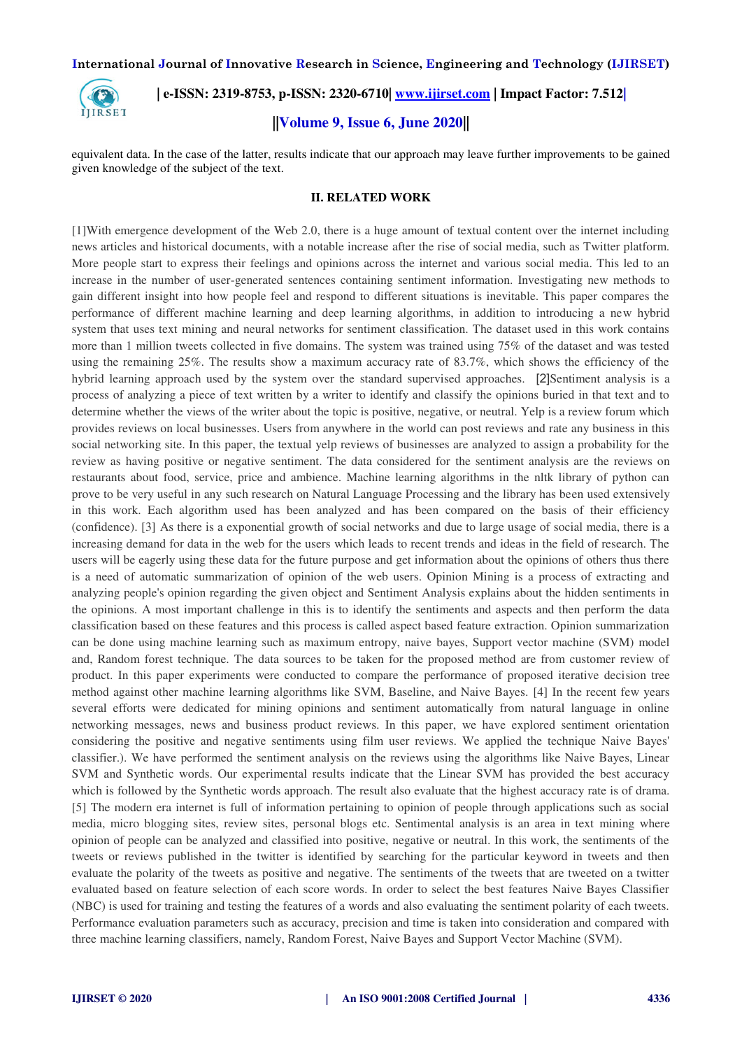

 **| e-ISSN: 2319-8753, p-ISSN: 2320-6710| [www.ijirset.com](http://www.ijirset.com/) | Impact Factor: 7.512|**

# **||Volume 9, Issue 6, June 2020||**

equivalent data. In the case of the latter, results indicate that our approach may leave further improvements to be gained given knowledge of the subject of the text.

# **II. RELATED WORK**

[1]With emergence development of the Web 2.0, there is a huge amount of textual content over the internet including news articles and historical documents, with a notable increase after the rise of social media, such as Twitter platform. More people start to express their feelings and opinions across the internet and various social media. This led to an increase in the number of user-generated sentences containing sentiment information. Investigating new methods to gain different insight into how people feel and respond to different situations is inevitable. This paper compares the performance of different machine learning and deep learning algorithms, in addition to introducing a new hybrid system that uses text mining and neural networks for sentiment classification. The dataset used in this work contains more than 1 million tweets collected in five domains. The system was trained using 75% of the dataset and was tested using the remaining 25%. The results show a maximum accuracy rate of 83.7%, which shows the efficiency of the hybrid learning approach used by the system over the standard supervised approaches. [2]Sentiment analysis is a process of analyzing a piece of text written by a writer to identify and classify the opinions buried in that text and to determine whether the views of the writer about the topic is positive, negative, or neutral. Yelp is a review forum which provides reviews on local businesses. Users from anywhere in the world can post reviews and rate any business in this social networking site. In this paper, the textual yelp reviews of businesses are analyzed to assign a probability for the review as having positive or negative sentiment. The data considered for the sentiment analysis are the reviews on restaurants about food, service, price and ambience. Machine learning algorithms in the nltk library of python can prove to be very useful in any such research on Natural Language Processing and the library has been used extensively in this work. Each algorithm used has been analyzed and has been compared on the basis of their efficiency (confidence). [3] As there is a exponential growth of social networks and due to large usage of social media, there is a increasing demand for data in the web for the users which leads to recent trends and ideas in the field of research. The users will be eagerly using these data for the future purpose and get information about the opinions of others thus there is a need of automatic summarization of opinion of the web users. Opinion Mining is a process of extracting and analyzing people's opinion regarding the given object and Sentiment Analysis explains about the hidden sentiments in the opinions. A most important challenge in this is to identify the sentiments and aspects and then perform the data classification based on these features and this process is called aspect based feature extraction. Opinion summarization can be done using machine learning such as maximum entropy, naive bayes, Support vector machine (SVM) model and, Random forest technique. The data sources to be taken for the proposed method are from customer review of product. In this paper experiments were conducted to compare the performance of proposed iterative decision tree method against other machine learning algorithms like SVM, Baseline, and Naive Bayes. [4] In the recent few years several efforts were dedicated for mining opinions and sentiment automatically from natural language in online networking messages, news and business product reviews. In this paper, we have explored sentiment orientation considering the positive and negative sentiments using film user reviews. We applied the technique Naive Bayes' classifier.). We have performed the sentiment analysis on the reviews using the algorithms like Naive Bayes, Linear SVM and Synthetic words. Our experimental results indicate that the Linear SVM has provided the best accuracy which is followed by the Synthetic words approach. The result also evaluate that the highest accuracy rate is of drama. [5] The modern era internet is full of information pertaining to opinion of people through applications such as social media, micro blogging sites, review sites, personal blogs etc. Sentimental analysis is an area in text mining where opinion of people can be analyzed and classified into positive, negative or neutral. In this work, the sentiments of the tweets or reviews published in the twitter is identified by searching for the particular keyword in tweets and then evaluate the polarity of the tweets as positive and negative. The sentiments of the tweets that are tweeted on a twitter evaluated based on feature selection of each score words. In order to select the best features Naive Bayes Classifier (NBC) is used for training and testing the features of a words and also evaluating the sentiment polarity of each tweets. Performance evaluation parameters such as accuracy, precision and time is taken into consideration and compared with three machine learning classifiers, namely, Random Forest, Naive Bayes and Support Vector Machine (SVM).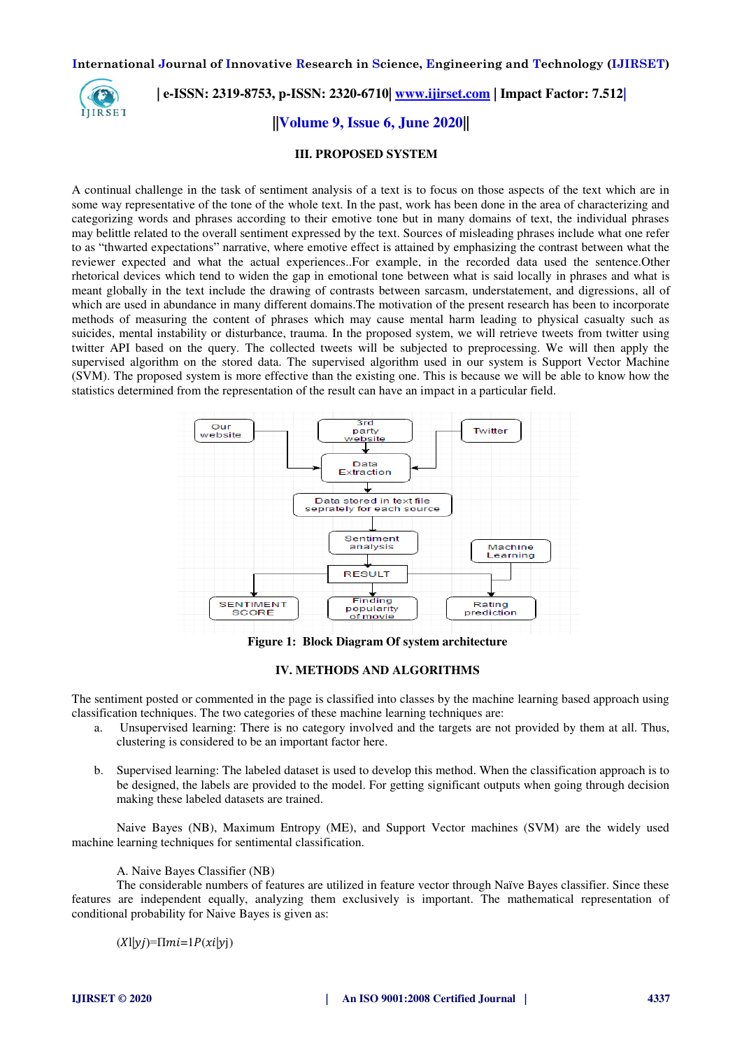

 **| e-ISSN: 2319-8753, p-ISSN: 2320-6710| [www.ijirset.com](http://www.ijirset.com/) | Impact Factor: 7.512|**

**||Volume 9, Issue 6, June 2020||** 

#### **III. PROPOSED SYSTEM**

A continual challenge in the task of sentiment analysis of a text is to focus on those aspects of the text which are in some way representative of the tone of the whole text. In the past, work has been done in the area of characterizing and categorizing words and phrases according to their emotive tone but in many domains of text, the individual phrases may belittle related to the overall sentiment expressed by the text. Sources of misleading phrases include what one refer to as "thwarted expectations" narrative, where emotive effect is attained by emphasizing the contrast between what the reviewer expected and what the actual experiences..For example, in the recorded data used the sentence.Other rhetorical devices which tend to widen the gap in emotional tone between what is said locally in phrases and what is meant globally in the text include the drawing of contrasts between sarcasm, understatement, and digressions, all of which are used in abundance in many different domains.The motivation of the present research has been to incorporate methods of measuring the content of phrases which may cause mental harm leading to physical casualty such as suicides, mental instability or disturbance, trauma. In the proposed system, we will retrieve tweets from twitter using twitter API based on the query. The collected tweets will be subjected to preprocessing. We will then apply the supervised algorithm on the stored data. The supervised algorithm used in our system is Support Vector Machine (SVM). The proposed system is more effective than the existing one. This is because we will be able to know how the statistics determined from the representation of the result can have an impact in a particular field.



**Figure 1: Block Diagram Of system architecture** 

#### **IV. METHODS AND ALGORITHMS**

The sentiment posted or commented in the page is classified into classes by the machine learning based approach using classification techniques. The two categories of these machine learning techniques are:

- a. Unsupervised learning: There is no category involved and the targets are not provided by them at all. Thus, clustering is considered to be an important factor here.
- b. Supervised learning: The labeled dataset is used to develop this method. When the classification approach is to be designed, the labels are provided to the model. For getting significant outputs when going through decision making these labeled datasets are trained.

Naive Bayes (NB), Maximum Entropy (ME), and Support Vector machines (SVM) are the widely used machine learning techniques for sentimental classification.

A. Naive Bayes Classifier (NB)

The considerable numbers of features are utilized in feature vector through Naïve Bayes classifier. Since these features are independent equally, analyzing them exclusively is important. The mathematical representation of conditional probability for Naive Bayes is given as:

 $(X|y) = \Pi m i = 1 P(xi|y)$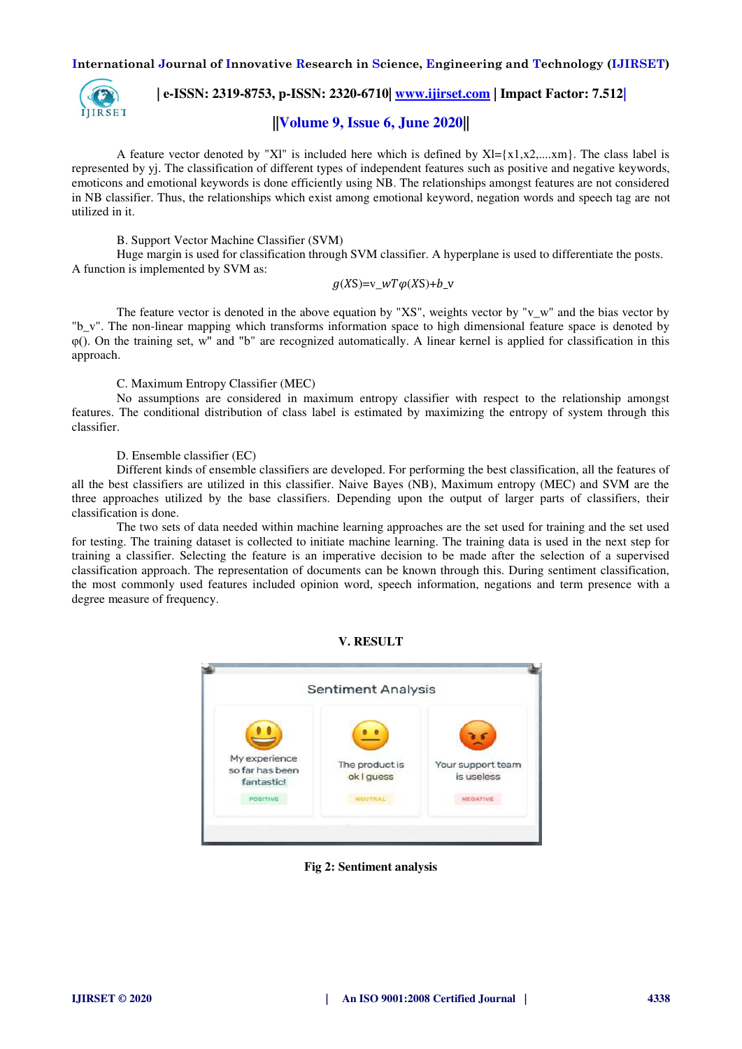

 **| e-ISSN: 2319-8753, p-ISSN: 2320-6710| [www.ijirset.com](http://www.ijirset.com/) | Impact Factor: 7.512|**

# **||Volume 9, Issue 6, June 2020||**

A feature vector denoted by "Xl" is included here which is defined by  $Xl = \{x1, x2, \ldots, xm\}$ . The class label is represented by yj. The classification of different types of independent features such as positive and negative keywords, emoticons and emotional keywords is done efficiently using NB. The relationships amongst features are not considered in NB classifier. Thus, the relationships which exist among emotional keyword, negation words and speech tag are not utilized in it.

#### B. Support Vector Machine Classifier (SVM)

Huge margin is used for classification through SVM classifier. A hyperplane is used to differentiate the posts. A function is implemented by SVM as:

$$
g(XS)=v_{W}T\varphi(XS)+b_{V}
$$

The feature vector is denoted in the above equation by "XS", weights vector by " $v_w$ " and the bias vector by "b\_v". The non-linear mapping which transforms information space to high dimensional feature space is denoted by φ(). On the training set, w" and "b" are recognized automatically. A linear kernel is applied for classification in this approach.

#### C. Maximum Entropy Classifier (MEC)

No assumptions are considered in maximum entropy classifier with respect to the relationship amongst features. The conditional distribution of class label is estimated by maximizing the entropy of system through this classifier.

## D. Ensemble classifier (EC)

Different kinds of ensemble classifiers are developed. For performing the best classification, all the features of all the best classifiers are utilized in this classifier. Naive Bayes (NB), Maximum entropy (MEC) and SVM are the three approaches utilized by the base classifiers. Depending upon the output of larger parts of classifiers, their classification is done.

The two sets of data needed within machine learning approaches are the set used for training and the set used for testing. The training dataset is collected to initiate machine learning. The training data is used in the next step for training a classifier. Selecting the feature is an imperative decision to be made after the selection of a supervised classification approach. The representation of documents can be known through this. During sentiment classification, the most commonly used features included opinion word, speech information, negations and term presence with a degree measure of frequency.

#### **V. RESULT**



**Fig 2: Sentiment analysis**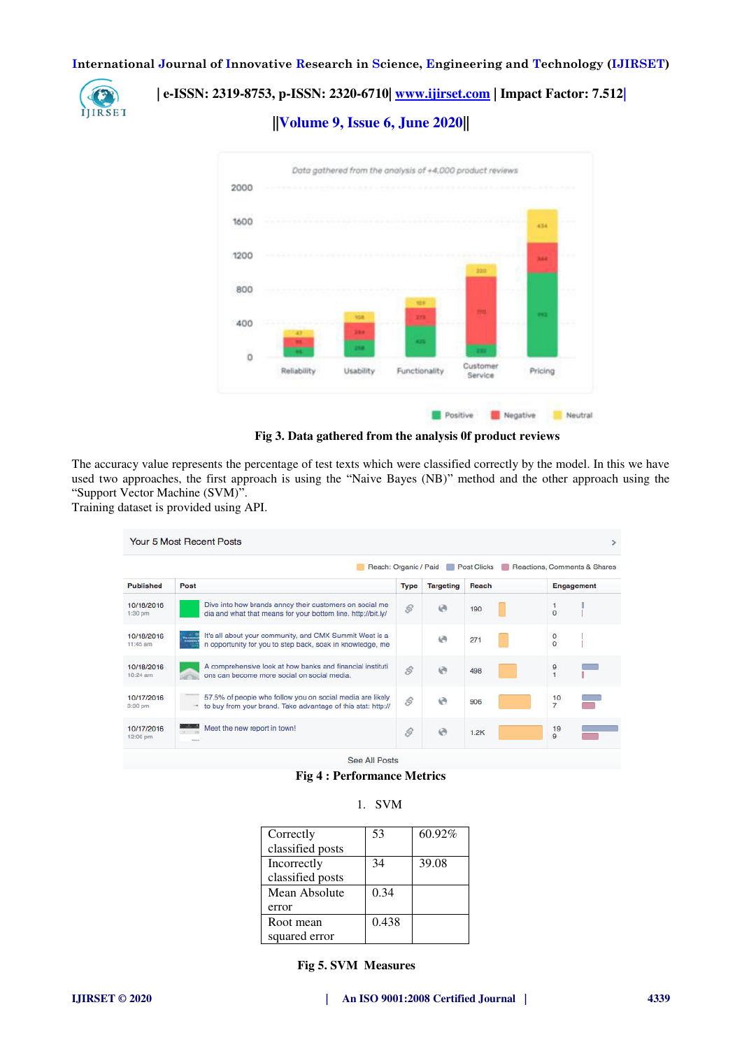

 **| e-ISSN: 2319-8753, p-ISSN: 2320-6710| [www.ijirset.com](http://www.ijirset.com/) | Impact Factor: 7.512|**

**||Volume 9, Issue 6, June 2020||** 



**Fig 3. Data gathered from the analysis 0f product reviews** 

The accuracy value represents the percentage of test texts which were classified correctly by the model. In this we have used two approaches, the first approach is using the "Naive Bayes (NB)" method and the other approach using the "Support Vector Machine (SVM)".

Training dataset is provided using API.

|                          | Reach: Organic / Paid                                                                                                                |                     |                  | <b>Post Clicks</b> | Reactions, Comments & Shares |
|--------------------------|--------------------------------------------------------------------------------------------------------------------------------------|---------------------|------------------|--------------------|------------------------------|
| <b>Published</b>         | Post                                                                                                                                 | <b>Type</b>         | <b>Targeting</b> | Reach              | <b>Engagement</b>            |
| 10/18/2016<br>1:30 pm    | Dive into how brands annoy their customers on social me<br>dia and what that means for your bottom line. http://bit.ly/              | $\mathcal{S}$       | $\Theta$         | 190                | $\overline{0}$               |
| 10/18/2016<br>$11:45$ am | It's all about your community, and CMX Summit West is a<br><b>Taxab</b><br>n opportunity for you to step back, soak in knowledge, me |                     | $\Theta$         | 271                | $\frac{0}{0}$                |
| 10/18/2016<br>10:24 am   | A comprehensive look at how banks and financial instituti<br>ons can become more social on social media.                             | $\mathcal{S}% _{0}$ | $\Theta$         | 498                | 9<br>ł                       |
| 10/17/2016<br>3:30 pm    | 57.5% of people who follow you on social media are likely<br>to buy from your brand. Take advantage of this stat: http://            | ŝ                   | $\Theta$         | 906                | 10<br>$\overline{7}$         |
| 10/17/2016<br>12:00 pm   | Meet the new report in town!                                                                                                         | $\mathcal{S}% _{0}$ | $\Theta$         | 1.2K               | 19<br>9                      |

**Fig 4 : Performance Metrics** 

| Correctly        | 53    | 60.92% |
|------------------|-------|--------|
| classified posts |       |        |
| Incorrectly      | 34    | 39.08  |
| classified posts |       |        |
| Mean Absolute    | 0.34  |        |
| error            |       |        |
| Root mean        | 0.438 |        |
| squared error    |       |        |

1. SVM

 **Fig 5. SVM Measures**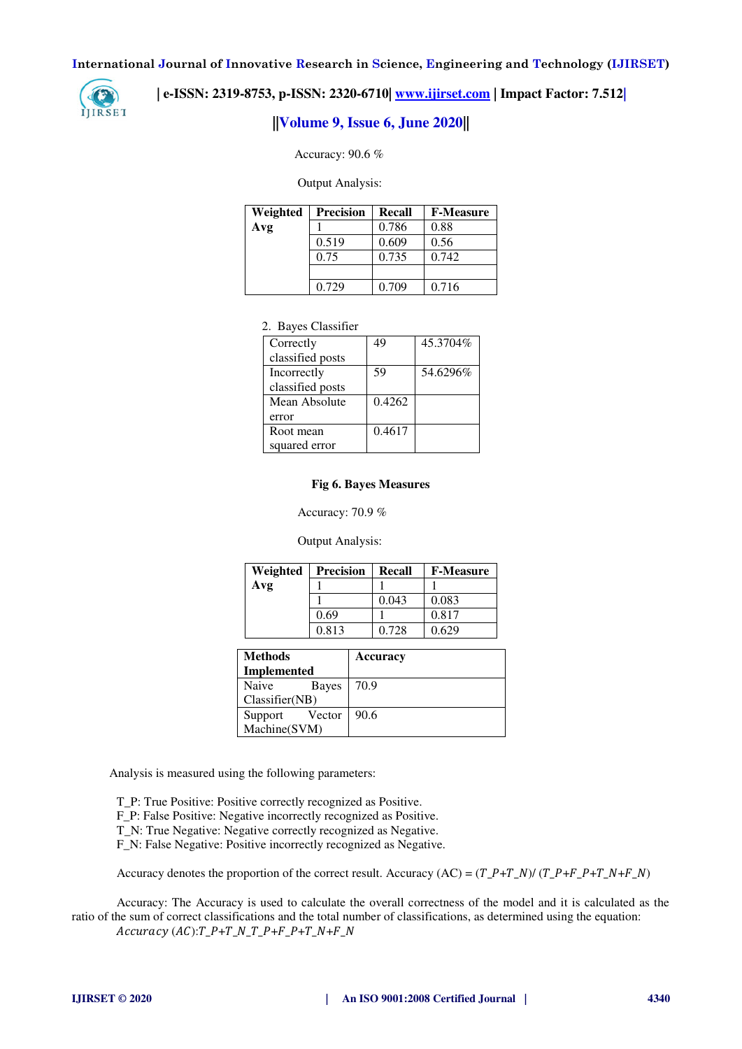

# **| e-ISSN: 2319-8753, p-ISSN: 2320-6710| [www.ijirset.com](http://www.ijirset.com/) | Impact Factor: 7.512|**

# **||Volume 9, Issue 6, June 2020||**

Accuracy: 90.6 %

Output Analysis:

| Weighted | <b>Precision</b> | Recall | <b>F-Measure</b> |
|----------|------------------|--------|------------------|
| Avg      |                  | 0.786  | 0.88             |
|          | 0.519            | 0.609  | 0.56             |
|          | 0.75             | 0.735  | 0.742            |
|          |                  |        |                  |
|          | 0.729            | 0.709  | 0.716            |

## 2. Bayes Classifier

| Correctly        | 49     | 45.3704% |
|------------------|--------|----------|
| classified posts |        |          |
| Incorrectly      | 59     | 54.6296% |
| classified posts |        |          |
| Mean Absolute    | 0.4262 |          |
| error            |        |          |
| Root mean        | 0.4617 |          |
| squared error    |        |          |

#### **Fig 6. Bayes Measures**

Accuracy: 70.9 %

Output Analysis:

| Weighted | <b>Precision</b> | Recall | <b>F-Measure</b> |
|----------|------------------|--------|------------------|
| Avg      |                  |        |                  |
|          |                  | 0.043  | 0.083            |
|          | 0.69             |        | 0.817            |
|          | 0.813            | 0.728  | 0.629            |

| <b>Methods</b>        | <b>Accuracy</b> |
|-----------------------|-----------------|
| <b>Implemented</b>    |                 |
| Naive<br><b>Bayes</b> | 70.9            |
| Classifier(NB)        |                 |
| Vector<br>Support     | 90.6            |
| Machine(SVM)          |                 |

Analysis is measured using the following parameters:

T\_P: True Positive: Positive correctly recognized as Positive. F\_P: False Positive: Negative incorrectly recognized as Positive. T\_N: True Negative: Negative correctly recognized as Negative. F\_N: False Negative: Positive incorrectly recognized as Negative.

Accuracy denotes the proportion of the correct result. Accuracy (AC) =  $(T_P+T_N)/(T_P+F_P+T_N+F_N)$ 

Accuracy: The Accuracy is used to calculate the overall correctness of the model and it is calculated as the ratio of the sum of correct classifications and the total number of classifications, as determined using the equation:  $Accuracy (AC):T_P+T_N_T-P+F_P+T_N+F_N+F_N$